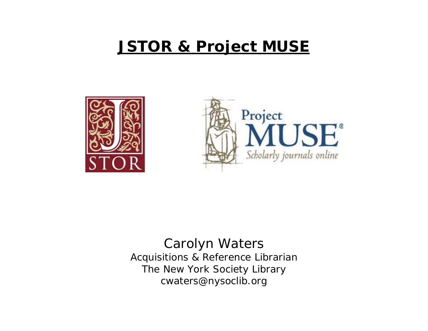# **JSTOR & Project MUSE**





Carolyn Waters Acquisitions & Reference Librarian The New York Society Library cwaters@nysoclib.org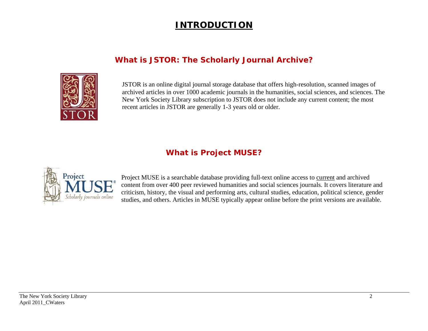# **INTRODUCTION**

## **What is JSTOR: The Scholarly Journal Archive?**



JSTOR is an online digital journal storage database that offers high-resolution, scanned images of archived articles in over 1000 academic journals in the humanities, social sciences, and sciences. The New York Society Library subscription to JSTOR does not include any current content; the most recent articles in JSTOR are generally 1-3 years old or older.

## **What is Project MUSE?**



Project MUSE is a searchable database providing full-text online access to current and archived content from over 400 peer reviewed humanities and social sciences journals. It covers literature and criticism, history, the visual and performing arts, cultural studies, education, political science, gender studies, and others. Articles in MUSE typically appear online before the print versions are available.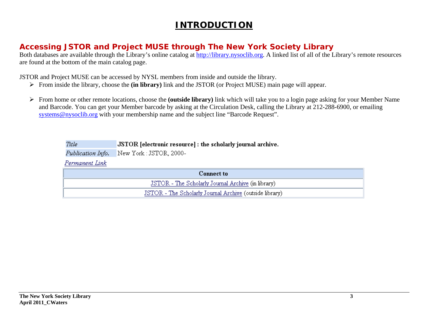# **INTRODUCTION**

## **Accessing JSTOR and Project MUSE through The New York Society Library**

Both databases are available through the Library's online catalog at [http://library.nysoclib.org](http://library.nysoclib.org/). A linked list of all of the Library's remote resources are found at the bottom of the main catalog page.

JSTOR and Project MUSE can be accessed by NYSL members from inside and outside the library.

- ¾ From inside the library, choose the **(in library)** link and the JSTOR (or Project MUSE) main page will appear.
- ¾ From home or other remote locations, choose the **(outside library)** link which will take you to a login page asking for your Member Name and Barcode. You can get your Member barcode by asking at the Circulation Desk, calling the Library at 212-288-6900, or emailing sys[tems@nysoclib.org](mailto:systems@nysoclib.org) with your membership name and the subject line "Barcode Request".

Title JSTOR [electronic resource] : the scholarly journal archive.

New York: JSTOR, 2000-Publication Info.

Permanent Link

| <b>Connect to</b>                                       |
|---------------------------------------------------------|
| JSTOR - The Scholarly Journal Archive (in library)      |
| JSTOR - The Scholarly Journal Archive (outside library) |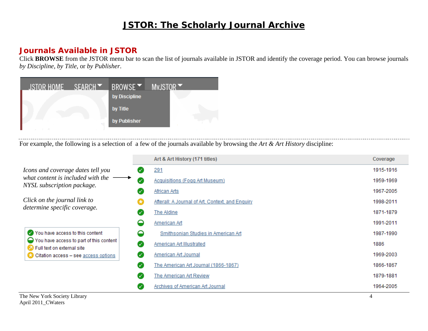#### **Journals Available in JSTOR**

Click **BROWSE** from the JSTOR menu bar to scan the list of journals available in JSTOR and identify the coverage period. You can browse journals *by Discipline*, *by Title*, or *by Publisher*.



For example, the following is a selection of a few of the journals available by browsing the *Art & Art History* discipline:

|                                                                                                                        |    | Art & Art History (171 titles)                   | Coverage  |
|------------------------------------------------------------------------------------------------------------------------|----|--------------------------------------------------|-----------|
| Icons and coverage dates tell you<br>what content is included with the $\longrightarrow$<br>NYSL subscription package. | Ø  | 291                                              | 1915-1916 |
|                                                                                                                        | Ø  | Acquisitions (Fogg Art Museum)                   | 1959-1969 |
|                                                                                                                        | Ø  | African Arts                                     | 1967-2005 |
| Click on the journal link to<br>determine specific coverage.                                                           | G3 | Afterall: A Journal of Art, Context, and Enquiry | 1998-2011 |
|                                                                                                                        | Ø  | The Aldine                                       | 1871-1879 |
|                                                                                                                        | ◒  | American Art                                     | 1991-2011 |
| You have access to this content                                                                                        | ◒  | Smithsonian Studies in American Art              | 1987-1990 |
| $\bigcirc$ You have access to part of this content<br>Tull text on external site                                       | Ø  | <b>American Art Illustrated</b>                  | 1886      |
| <b>Citation access - see access options</b>                                                                            | Ø  | American Art Journal                             | 1969-2003 |
|                                                                                                                        | ✓  | The American Art Journal (1866-1867)             | 1866-1867 |
|                                                                                                                        | Ø  | The American Art Review                          | 1879-1881 |
|                                                                                                                        | び  | Archives of American Art Journal                 | 1964-2005 |
| The New York Society Library                                                                                           |    |                                                  | 4         |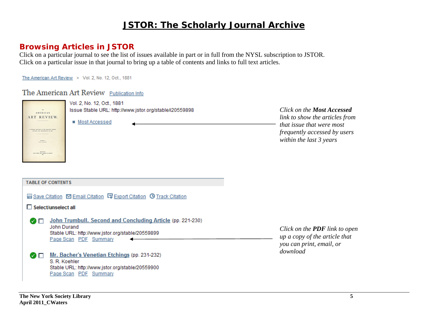#### **Browsing Articles in JSTOR**

Click on a particular journal to see the list of issues available in part or in full from the NYSL subscription to JSTOR. Click on a particular issue in that journal to bring up a table of contents and links to full text articles.

The American Art Review > Vol. 2, No. 12, Oct., 1881

#### The American Art Review Publication Info



**The New York Society Library 5 April 2011\_CWaters** 

Stable URL: http://www.jstor.org/stable/20559900

Page Scan PDF Summary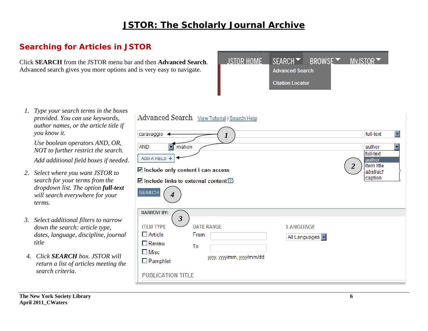## **Searching for Articles in JSTOR**

Click **SEARCH** from the JSTOR menu bar and then **Advanced Search**. Advanced search gives you more options and is very easy to navigate.



*1. Type your search terms in the boxes provided. You can use keywords, author names, or the article title if you know it.* 

*Use boolean operators AND, OR, NOT to further restrict the search.* 

*Add additional field boxes if needed.* 

- *2. Select where you want JSTOR to search for your terms from the dropdown list. The option full-text will search everywhere for your terms.*
- *3. Select additional filters to narrow down the search: article type, dates, language, discipline, journal title*
- *4. Click SEARCH box. JSTOR will return a list of articles meeting the search criteria.*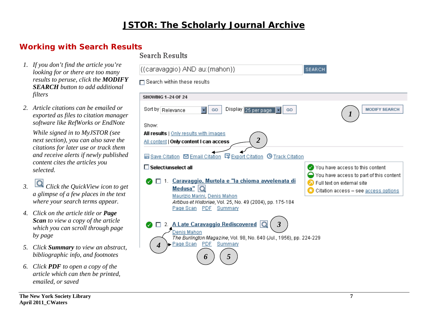l((caravaggio) AND au:(mahon))

#### **Working with Search Results Search Results**

- *1. If you don't find the article you're looking for or there are too many results to peruse, click the MODIFY SEARCH button to add additional filters*
- *2. Article citations can be emailed or exported as files to citation manager software like RefWorks or EndNote*

*While signed in to MyJSTOR (see next section), you can also save the citations for later use or track them and receive alerts if newly published content cites the articles you selected.* 

- *3. Click the QuickView icon to get a glimpse of a few places in the text where your search terms appear.*
- *4. Click on the article title or Page Scan to view a copy of the article which you can scroll through page by page*
- *5. Click Summary to view an abstract, bibliographic info, and footnotes*
- *6. Click PDF to open a copy of the article which can then be printed, emailed, or saved*

#### □ Search within these results **SHOWING 1-24 OF 24** Sort by Relevance Display 25 per page **MODIFY SEARCH**  $\Box$ GO GO *1* Show: All results | Only results with images *2* All content | Only content I can access ■ Save Citation **D** Email Citation **D** Export Citation **O** Track Citation You have access to this content  $\Box$  Select/unselect all  $\bigcirc$  You have access to part of this content ● □ 1. Caravaggio, Murtola e "la chioma avvelenata di **2** Full text on external site Medusa"  $Q$ **C** Citation access - see access options Maurizio Marini, Denis Mahon Artibus et Historiae, Vol. 25, No. 49 (2004), pp. 175-184 Page Scan PDF Summary ● □ 2. A Late Caravaggio Rediscovered O *3*Denis Mahon The Burlington Magazine, Vol. 98, No. 640 (Jul., 1956), pp. 224-229 Page Scan PDF Summary *4 6 5*

**SEARCH**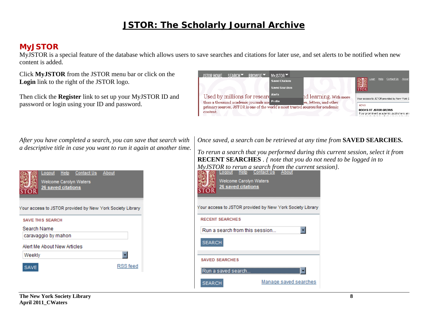#### **MyJSTOR**

MyJSTOR is a special feature of the database which allows users to save searches and citations for later use, and set alerts to be notified when new content is added.

Click **MyJSTOR** from the JSTOR menu bar or click on the **Login** link to the right of the JSTOR logo.

Then click the **Register** link to set up your MyJSTOR ID and password or login using your ID and password.



*After you have completed a search, you can save that search with a descriptive title in case you want to run it again at another time.*

Logout Help **Contact Us** About Welcome Carolyn Waters **26 saved citations** 'OR Your access to JSTOR provided by New York Society Library **SAVE THIS SEARCH** Search Name caravaggio by mahon Alert Me About New Articles  $\overline{\phantom{a}}$ Weekly **RSS** feed **SAVE** 

*Once saved, a search can be retrieved at any time from* **SAVED SEARCHES.**

*To rerun a search that you performed during this current session, select it from*  **RECENT SEARCHES** . *{ note that you do not need to be logged in to MyJSTOR to rerun a search from the current session).*<br> **EXTICO** Logout Help Contact Us About

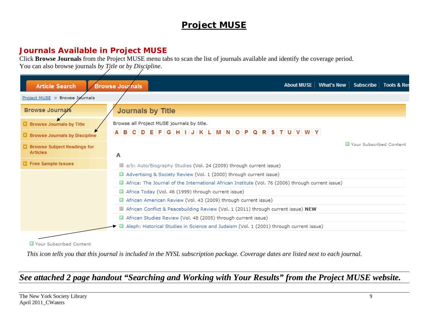# **Project MUSE**

## **Journals Available in Project MUSE**

Click **Browse Journals** from the Project MUSE menu tabs to scan the list of journals available and identify the coverage period.

You can also browse journals *by Title* or *by Discipline*.

| <b>Article Search</b>                                   | About MUSE   What's New   Subscribe   Tools & Re<br><b>Browse Journals</b>                        |                         |
|---------------------------------------------------------|---------------------------------------------------------------------------------------------------|-------------------------|
| Project MUSE >> Browse Jøurnals                         |                                                                                                   |                         |
| <b>Browse Journals</b>                                  | <b>Journals by Title</b>                                                                          |                         |
| <b>Browse Journals by Title</b>                         | Browse all Project MUSE journals by title.                                                        |                         |
| <b>D</b> Browse Journals by Discipline                  | DEFGHIJKLMNOPQRSTUVWY<br><b>BC</b>                                                                |                         |
| <b>E</b> Browse Subject Headings for<br><b>Articles</b> | A                                                                                                 | Your Subscribed Content |
| <b>Fig. 5</b> Free Sample Issues                        | a/b: Auto/Biography Studies (Vol. 24 (2009) through current issue)                                |                         |
|                                                         | Advertising & Society Review (Vol. 1 (2000) through current issue)                                |                         |
|                                                         | Africa: The Journal of the International African Institute (Vol. 76 (2006) through current issue) |                         |
|                                                         | Africa Today (Vol. 46 (1999) through current issue)                                               |                         |
|                                                         | African American Review (Vol. 43 (2009) through current issue)                                    |                         |
|                                                         | African Conflict & Peacebuilding Review (Vol. 1 (2011) through current issue) NEW                 |                         |
|                                                         | African Studies Review (Vol. 48 (2005) through current issue)                                     |                         |
|                                                         | Aleph: Historical Studies in Science and Judaism (Vol. 1 (2001) through current issue)            |                         |
|                                                         |                                                                                                   |                         |

Your Subscribed Content

*This icon tells you that this journal is included in the NYSL subscription package. Coverage dates are listed next to each journal.* 

# *See attached 2 page handout "Searching and Working with Your Results" from the Project MUSE website.*